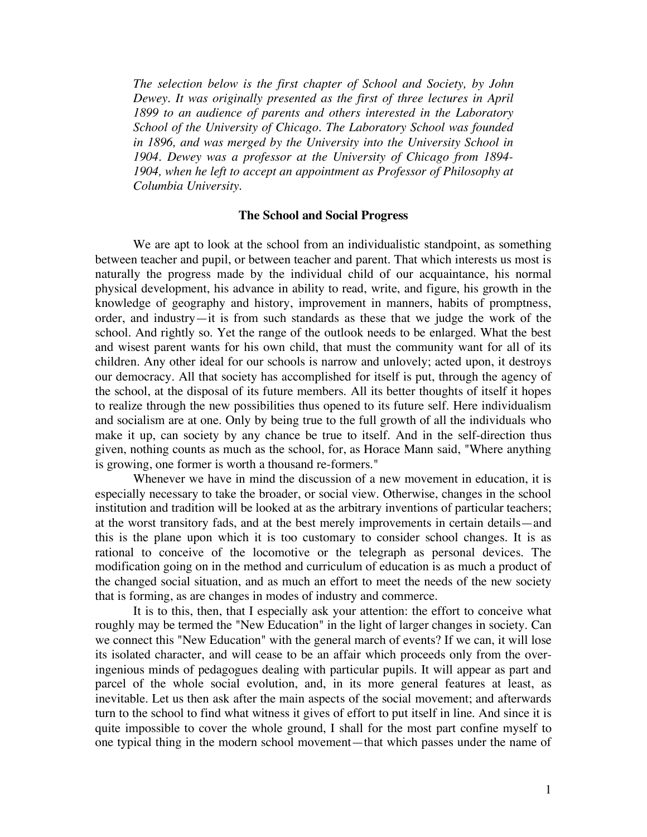*The selection below is the first chapter of School and Society, by John Dewey. It was originally presented as the first of three lectures in April 1899 to an audience of parents and others interested in the Laboratory School of the University of Chicago. The Laboratory School was founded in 1896, and was merged by the University into the University School in 1904. Dewey was a professor at the University of Chicago from 1894- 1904, when he left to accept an appointment as Professor of Philosophy at Columbia University.*

## **The School and Social Progress**

We are apt to look at the school from an individualistic standpoint, as something between teacher and pupil, or between teacher and parent. That which interests us most is naturally the progress made by the individual child of our acquaintance, his normal physical development, his advance in ability to read, write, and figure, his growth in the knowledge of geography and history, improvement in manners, habits of promptness, order, and industry—it is from such standards as these that we judge the work of the school. And rightly so. Yet the range of the outlook needs to be enlarged. What the best and wisest parent wants for his own child, that must the community want for all of its children. Any other ideal for our schools is narrow and unlovely; acted upon, it destroys our democracy. All that society has accomplished for itself is put, through the agency of the school, at the disposal of its future members. All its better thoughts of itself it hopes to realize through the new possibilities thus opened to its future self. Here individualism and socialism are at one. Only by being true to the full growth of all the individuals who make it up, can society by any chance be true to itself. And in the self-direction thus given, nothing counts as much as the school, for, as Horace Mann said, "Where anything is growing, one former is worth a thousand re-formers."

Whenever we have in mind the discussion of a new movement in education, it is especially necessary to take the broader, or social view. Otherwise, changes in the school institution and tradition will be looked at as the arbitrary inventions of particular teachers; at the worst transitory fads, and at the best merely improvements in certain details—and this is the plane upon which it is too customary to consider school changes. It is as rational to conceive of the locomotive or the telegraph as personal devices. The modification going on in the method and curriculum of education is as much a product of the changed social situation, and as much an effort to meet the needs of the new society that is forming, as are changes in modes of industry and commerce.

It is to this, then, that I especially ask your attention: the effort to conceive what roughly may be termed the "New Education" in the light of larger changes in society. Can we connect this "New Education" with the general march of events? If we can, it will lose its isolated character, and will cease to be an affair which proceeds only from the overingenious minds of pedagogues dealing with particular pupils. It will appear as part and parcel of the whole social evolution, and, in its more general features at least, as inevitable. Let us then ask after the main aspects of the social movement; and afterwards turn to the school to find what witness it gives of effort to put itself in line. And since it is quite impossible to cover the whole ground, I shall for the most part confine myself to one typical thing in the modern school movement—that which passes under the name of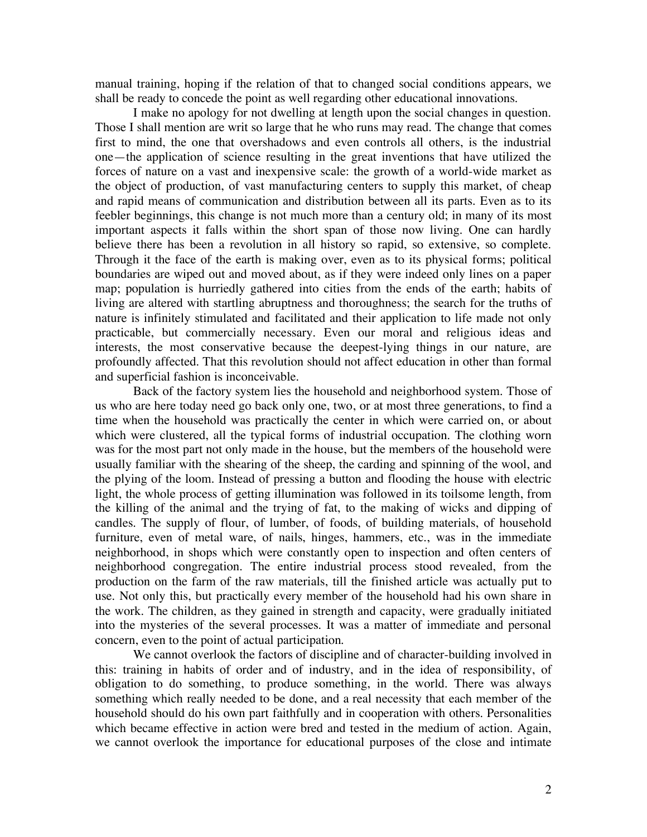manual training, hoping if the relation of that to changed social conditions appears, we shall be ready to concede the point as well regarding other educational innovations.

I make no apology for not dwelling at length upon the social changes in question. Those I shall mention are writ so large that he who runs may read. The change that comes first to mind, the one that overshadows and even controls all others, is the industrial one—the application of science resulting in the great inventions that have utilized the forces of nature on a vast and inexpensive scale: the growth of a world-wide market as the object of production, of vast manufacturing centers to supply this market, of cheap and rapid means of communication and distribution between all its parts. Even as to its feebler beginnings, this change is not much more than a century old; in many of its most important aspects it falls within the short span of those now living. One can hardly believe there has been a revolution in all history so rapid, so extensive, so complete. Through it the face of the earth is making over, even as to its physical forms; political boundaries are wiped out and moved about, as if they were indeed only lines on a paper map; population is hurriedly gathered into cities from the ends of the earth; habits of living are altered with startling abruptness and thoroughness; the search for the truths of nature is infinitely stimulated and facilitated and their application to life made not only practicable, but commercially necessary. Even our moral and religious ideas and interests, the most conservative because the deepest-lying things in our nature, are profoundly affected. That this revolution should not affect education in other than formal and superficial fashion is inconceivable.

Back of the factory system lies the household and neighborhood system. Those of us who are here today need go back only one, two, or at most three generations, to find a time when the household was practically the center in which were carried on, or about which were clustered, all the typical forms of industrial occupation. The clothing worn was for the most part not only made in the house, but the members of the household were usually familiar with the shearing of the sheep, the carding and spinning of the wool, and the plying of the loom. Instead of pressing a button and flooding the house with electric light, the whole process of getting illumination was followed in its toilsome length, from the killing of the animal and the trying of fat, to the making of wicks and dipping of candles. The supply of flour, of lumber, of foods, of building materials, of household furniture, even of metal ware, of nails, hinges, hammers, etc., was in the immediate neighborhood, in shops which were constantly open to inspection and often centers of neighborhood congregation. The entire industrial process stood revealed, from the production on the farm of the raw materials, till the finished article was actually put to use. Not only this, but practically every member of the household had his own share in the work. The children, as they gained in strength and capacity, were gradually initiated into the mysteries of the several processes. It was a matter of immediate and personal concern, even to the point of actual participation.

We cannot overlook the factors of discipline and of character-building involved in this: training in habits of order and of industry, and in the idea of responsibility, of obligation to do something, to produce something, in the world. There was always something which really needed to be done, and a real necessity that each member of the household should do his own part faithfully and in cooperation with others. Personalities which became effective in action were bred and tested in the medium of action. Again, we cannot overlook the importance for educational purposes of the close and intimate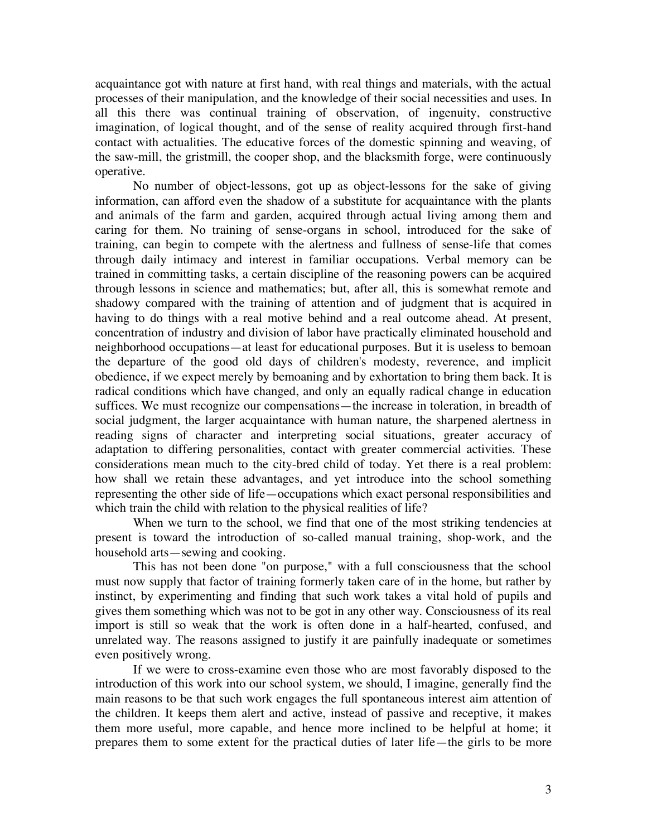acquaintance got with nature at first hand, with real things and materials, with the actual processes of their manipulation, and the knowledge of their social necessities and uses. In all this there was continual training of observation, of ingenuity, constructive imagination, of logical thought, and of the sense of reality acquired through first-hand contact with actualities. The educative forces of the domestic spinning and weaving, of the saw-mill, the gristmill, the cooper shop, and the blacksmith forge, were continuously operative.

No number of object-lessons, got up as object-lessons for the sake of giving information, can afford even the shadow of a substitute for acquaintance with the plants and animals of the farm and garden, acquired through actual living among them and caring for them. No training of sense-organs in school, introduced for the sake of training, can begin to compete with the alertness and fullness of sense-life that comes through daily intimacy and interest in familiar occupations. Verbal memory can be trained in committing tasks, a certain discipline of the reasoning powers can be acquired through lessons in science and mathematics; but, after all, this is somewhat remote and shadowy compared with the training of attention and of judgment that is acquired in having to do things with a real motive behind and a real outcome ahead. At present, concentration of industry and division of labor have practically eliminated household and neighborhood occupations—at least for educational purposes. But it is useless to bemoan the departure of the good old days of children's modesty, reverence, and implicit obedience, if we expect merely by bemoaning and by exhortation to bring them back. It is radical conditions which have changed, and only an equally radical change in education suffices. We must recognize our compensations—the increase in toleration, in breadth of social judgment, the larger acquaintance with human nature, the sharpened alertness in reading signs of character and interpreting social situations, greater accuracy of adaptation to differing personalities, contact with greater commercial activities. These considerations mean much to the city-bred child of today. Yet there is a real problem: how shall we retain these advantages, and yet introduce into the school something representing the other side of life—occupations which exact personal responsibilities and which train the child with relation to the physical realities of life?

When we turn to the school, we find that one of the most striking tendencies at present is toward the introduction of so-called manual training, shop-work, and the household arts—sewing and cooking.

This has not been done "on purpose," with a full consciousness that the school must now supply that factor of training formerly taken care of in the home, but rather by instinct, by experimenting and finding that such work takes a vital hold of pupils and gives them something which was not to be got in any other way. Consciousness of its real import is still so weak that the work is often done in a half-hearted, confused, and unrelated way. The reasons assigned to justify it are painfully inadequate or sometimes even positively wrong.

If we were to cross-examine even those who are most favorably disposed to the introduction of this work into our school system, we should, I imagine, generally find the main reasons to be that such work engages the full spontaneous interest aim attention of the children. It keeps them alert and active, instead of passive and receptive, it makes them more useful, more capable, and hence more inclined to be helpful at home; it prepares them to some extent for the practical duties of later life—the girls to be more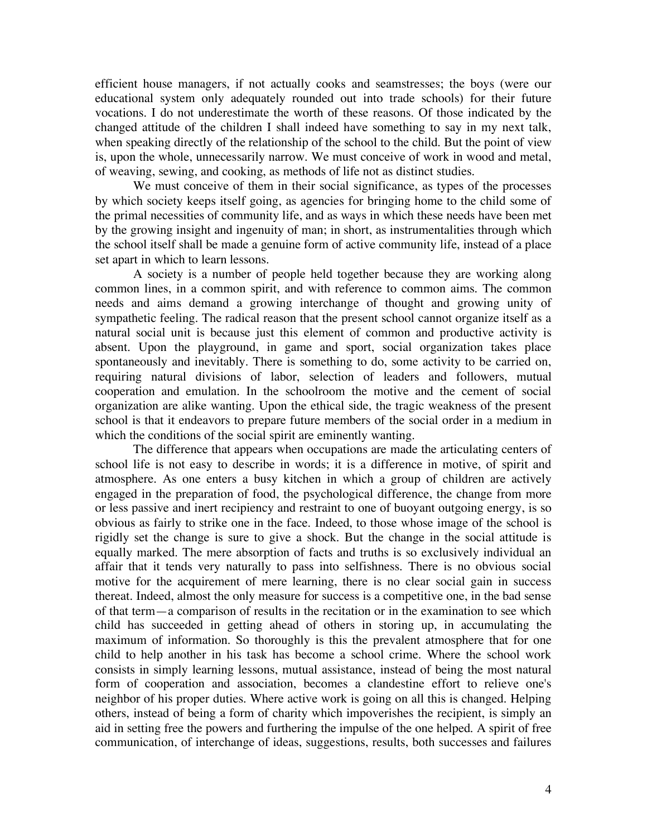efficient house managers, if not actually cooks and seamstresses; the boys (were our educational system only adequately rounded out into trade schools) for their future vocations. I do not underestimate the worth of these reasons. Of those indicated by the changed attitude of the children I shall indeed have something to say in my next talk, when speaking directly of the relationship of the school to the child. But the point of view is, upon the whole, unnecessarily narrow. We must conceive of work in wood and metal, of weaving, sewing, and cooking, as methods of life not as distinct studies.

We must conceive of them in their social significance, as types of the processes by which society keeps itself going, as agencies for bringing home to the child some of the primal necessities of community life, and as ways in which these needs have been met by the growing insight and ingenuity of man; in short, as instrumentalities through which the school itself shall be made a genuine form of active community life, instead of a place set apart in which to learn lessons.

A society is a number of people held together because they are working along common lines, in a common spirit, and with reference to common aims. The common needs and aims demand a growing interchange of thought and growing unity of sympathetic feeling. The radical reason that the present school cannot organize itself as a natural social unit is because just this element of common and productive activity is absent. Upon the playground, in game and sport, social organization takes place spontaneously and inevitably. There is something to do, some activity to be carried on, requiring natural divisions of labor, selection of leaders and followers, mutual cooperation and emulation. In the schoolroom the motive and the cement of social organization are alike wanting. Upon the ethical side, the tragic weakness of the present school is that it endeavors to prepare future members of the social order in a medium in which the conditions of the social spirit are eminently wanting.

The difference that appears when occupations are made the articulating centers of school life is not easy to describe in words; it is a difference in motive, of spirit and atmosphere. As one enters a busy kitchen in which a group of children are actively engaged in the preparation of food, the psychological difference, the change from more or less passive and inert recipiency and restraint to one of buoyant outgoing energy, is so obvious as fairly to strike one in the face. Indeed, to those whose image of the school is rigidly set the change is sure to give a shock. But the change in the social attitude is equally marked. The mere absorption of facts and truths is so exclusively individual an affair that it tends very naturally to pass into selfishness. There is no obvious social motive for the acquirement of mere learning, there is no clear social gain in success thereat. Indeed, almost the only measure for success is a competitive one, in the bad sense of that term—a comparison of results in the recitation or in the examination to see which child has succeeded in getting ahead of others in storing up, in accumulating the maximum of information. So thoroughly is this the prevalent atmosphere that for one child to help another in his task has become a school crime. Where the school work consists in simply learning lessons, mutual assistance, instead of being the most natural form of cooperation and association, becomes a clandestine effort to relieve one's neighbor of his proper duties. Where active work is going on all this is changed. Helping others, instead of being a form of charity which impoverishes the recipient, is simply an aid in setting free the powers and furthering the impulse of the one helped. A spirit of free communication, of interchange of ideas, suggestions, results, both successes and failures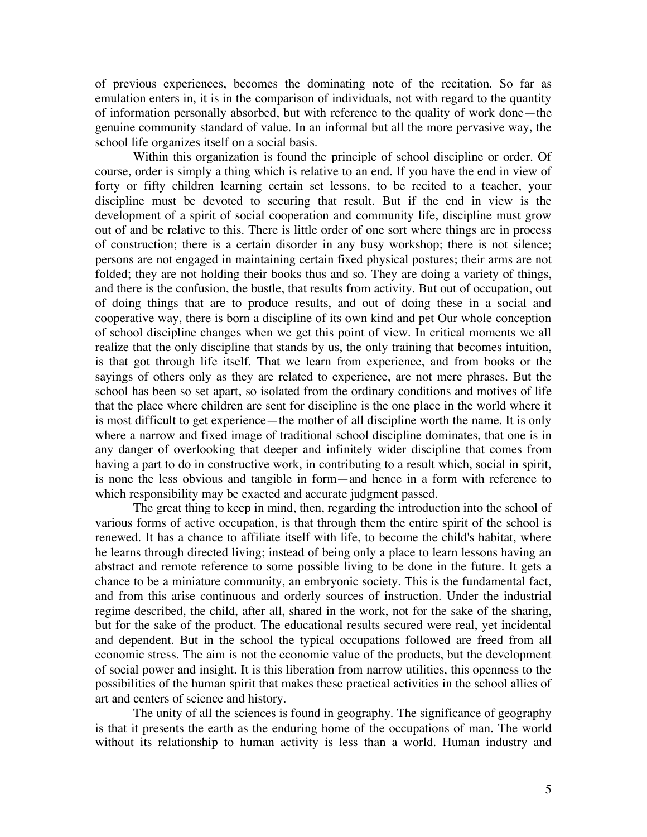of previous experiences, becomes the dominating note of the recitation. So far as emulation enters in, it is in the comparison of individuals, not with regard to the quantity of information personally absorbed, but with reference to the quality of work done—the genuine community standard of value. In an informal but all the more pervasive way, the school life organizes itself on a social basis.

Within this organization is found the principle of school discipline or order. Of course, order is simply a thing which is relative to an end. If you have the end in view of forty or fifty children learning certain set lessons, to be recited to a teacher, your discipline must be devoted to securing that result. But if the end in view is the development of a spirit of social cooperation and community life, discipline must grow out of and be relative to this. There is little order of one sort where things are in process of construction; there is a certain disorder in any busy workshop; there is not silence; persons are not engaged in maintaining certain fixed physical postures; their arms are not folded; they are not holding their books thus and so. They are doing a variety of things, and there is the confusion, the bustle, that results from activity. But out of occupation, out of doing things that are to produce results, and out of doing these in a social and cooperative way, there is born a discipline of its own kind and pet Our whole conception of school discipline changes when we get this point of view. In critical moments we all realize that the only discipline that stands by us, the only training that becomes intuition, is that got through life itself. That we learn from experience, and from books or the sayings of others only as they are related to experience, are not mere phrases. But the school has been so set apart, so isolated from the ordinary conditions and motives of life that the place where children are sent for discipline is the one place in the world where it is most difficult to get experience—the mother of all discipline worth the name. It is only where a narrow and fixed image of traditional school discipline dominates, that one is in any danger of overlooking that deeper and infinitely wider discipline that comes from having a part to do in constructive work, in contributing to a result which, social in spirit, is none the less obvious and tangible in form—and hence in a form with reference to which responsibility may be exacted and accurate judgment passed.

The great thing to keep in mind, then, regarding the introduction into the school of various forms of active occupation, is that through them the entire spirit of the school is renewed. It has a chance to affiliate itself with life, to become the child's habitat, where he learns through directed living; instead of being only a place to learn lessons having an abstract and remote reference to some possible living to be done in the future. It gets a chance to be a miniature community, an embryonic society. This is the fundamental fact, and from this arise continuous and orderly sources of instruction. Under the industrial regime described, the child, after all, shared in the work, not for the sake of the sharing, but for the sake of the product. The educational results secured were real, yet incidental and dependent. But in the school the typical occupations followed are freed from all economic stress. The aim is not the economic value of the products, but the development of social power and insight. It is this liberation from narrow utilities, this openness to the possibilities of the human spirit that makes these practical activities in the school allies of art and centers of science and history.

The unity of all the sciences is found in geography. The significance of geography is that it presents the earth as the enduring home of the occupations of man. The world without its relationship to human activity is less than a world. Human industry and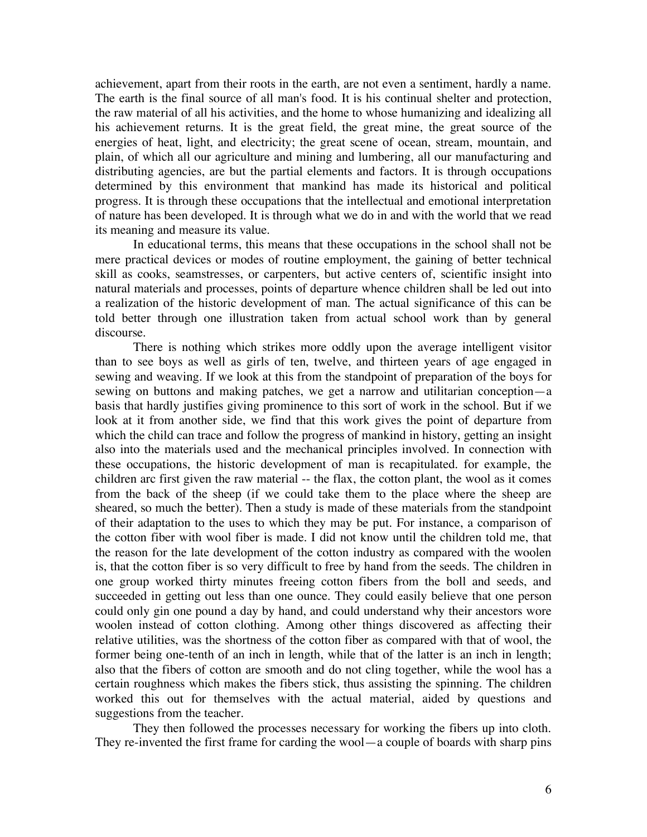achievement, apart from their roots in the earth, are not even a sentiment, hardly a name. The earth is the final source of all man's food. It is his continual shelter and protection, the raw material of all his activities, and the home to whose humanizing and idealizing all his achievement returns. It is the great field, the great mine, the great source of the energies of heat, light, and electricity; the great scene of ocean, stream, mountain, and plain, of which all our agriculture and mining and lumbering, all our manufacturing and distributing agencies, are but the partial elements and factors. It is through occupations determined by this environment that mankind has made its historical and political progress. It is through these occupations that the intellectual and emotional interpretation of nature has been developed. It is through what we do in and with the world that we read its meaning and measure its value.

In educational terms, this means that these occupations in the school shall not be mere practical devices or modes of routine employment, the gaining of better technical skill as cooks, seamstresses, or carpenters, but active centers of, scientific insight into natural materials and processes, points of departure whence children shall be led out into a realization of the historic development of man. The actual significance of this can be told better through one illustration taken from actual school work than by general discourse.

There is nothing which strikes more oddly upon the average intelligent visitor than to see boys as well as girls of ten, twelve, and thirteen years of age engaged in sewing and weaving. If we look at this from the standpoint of preparation of the boys for sewing on buttons and making patches, we get a narrow and utilitarian conception—a basis that hardly justifies giving prominence to this sort of work in the school. But if we look at it from another side, we find that this work gives the point of departure from which the child can trace and follow the progress of mankind in history, getting an insight also into the materials used and the mechanical principles involved. In connection with these occupations, the historic development of man is recapitulated. for example, the children arc first given the raw material -- the flax, the cotton plant, the wool as it comes from the back of the sheep (if we could take them to the place where the sheep are sheared, so much the better). Then a study is made of these materials from the standpoint of their adaptation to the uses to which they may be put. For instance, a comparison of the cotton fiber with wool fiber is made. I did not know until the children told me, that the reason for the late development of the cotton industry as compared with the woolen is, that the cotton fiber is so very difficult to free by hand from the seeds. The children in one group worked thirty minutes freeing cotton fibers from the boll and seeds, and succeeded in getting out less than one ounce. They could easily believe that one person could only gin one pound a day by hand, and could understand why their ancestors wore woolen instead of cotton clothing. Among other things discovered as affecting their relative utilities, was the shortness of the cotton fiber as compared with that of wool, the former being one-tenth of an inch in length, while that of the latter is an inch in length; also that the fibers of cotton are smooth and do not cling together, while the wool has a certain roughness which makes the fibers stick, thus assisting the spinning. The children worked this out for themselves with the actual material, aided by questions and suggestions from the teacher.

They then followed the processes necessary for working the fibers up into cloth. They re-invented the first frame for carding the wool—a couple of boards with sharp pins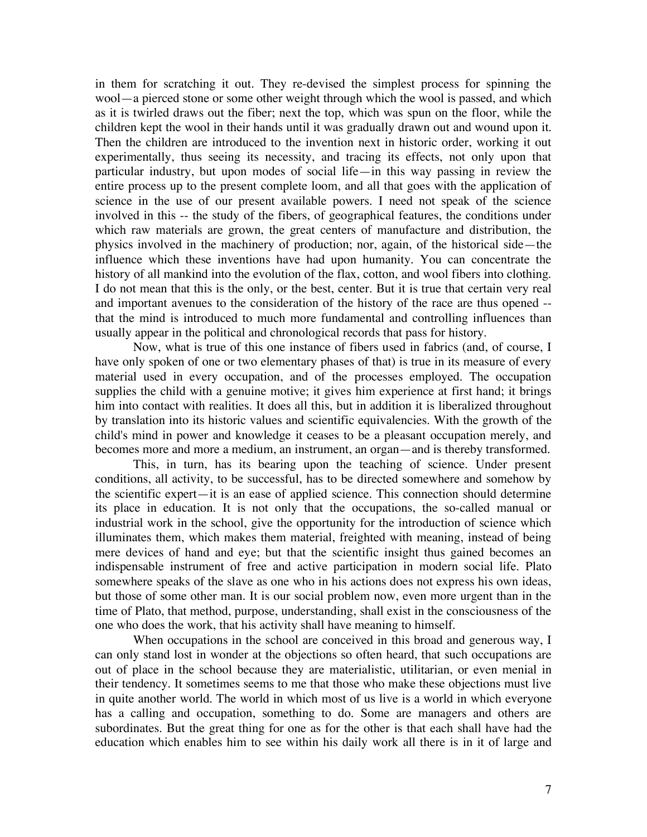in them for scratching it out. They re-devised the simplest process for spinning the wool—a pierced stone or some other weight through which the wool is passed, and which as it is twirled draws out the fiber; next the top, which was spun on the floor, while the children kept the wool in their hands until it was gradually drawn out and wound upon it. Then the children are introduced to the invention next in historic order, working it out experimentally, thus seeing its necessity, and tracing its effects, not only upon that particular industry, but upon modes of social life—in this way passing in review the entire process up to the present complete loom, and all that goes with the application of science in the use of our present available powers. I need not speak of the science involved in this -- the study of the fibers, of geographical features, the conditions under which raw materials are grown, the great centers of manufacture and distribution, the physics involved in the machinery of production; nor, again, of the historical side—the influence which these inventions have had upon humanity. You can concentrate the history of all mankind into the evolution of the flax, cotton, and wool fibers into clothing. I do not mean that this is the only, or the best, center. But it is true that certain very real and important avenues to the consideration of the history of the race are thus opened - that the mind is introduced to much more fundamental and controlling influences than usually appear in the political and chronological records that pass for history.

Now, what is true of this one instance of fibers used in fabrics (and, of course, I have only spoken of one or two elementary phases of that) is true in its measure of every material used in every occupation, and of the processes employed. The occupation supplies the child with a genuine motive; it gives him experience at first hand; it brings him into contact with realities. It does all this, but in addition it is liberalized throughout by translation into its historic values and scientific equivalencies. With the growth of the child's mind in power and knowledge it ceases to be a pleasant occupation merely, and becomes more and more a medium, an instrument, an organ—and is thereby transformed.

This, in turn, has its bearing upon the teaching of science. Under present conditions, all activity, to be successful, has to be directed somewhere and somehow by the scientific expert—it is an ease of applied science. This connection should determine its place in education. It is not only that the occupations, the so-called manual or industrial work in the school, give the opportunity for the introduction of science which illuminates them, which makes them material, freighted with meaning, instead of being mere devices of hand and eye; but that the scientific insight thus gained becomes an indispensable instrument of free and active participation in modern social life. Plato somewhere speaks of the slave as one who in his actions does not express his own ideas, but those of some other man. It is our social problem now, even more urgent than in the time of Plato, that method, purpose, understanding, shall exist in the consciousness of the one who does the work, that his activity shall have meaning to himself.

When occupations in the school are conceived in this broad and generous way, I can only stand lost in wonder at the objections so often heard, that such occupations are out of place in the school because they are materialistic, utilitarian, or even menial in their tendency. It sometimes seems to me that those who make these objections must live in quite another world. The world in which most of us live is a world in which everyone has a calling and occupation, something to do. Some are managers and others are subordinates. But the great thing for one as for the other is that each shall have had the education which enables him to see within his daily work all there is in it of large and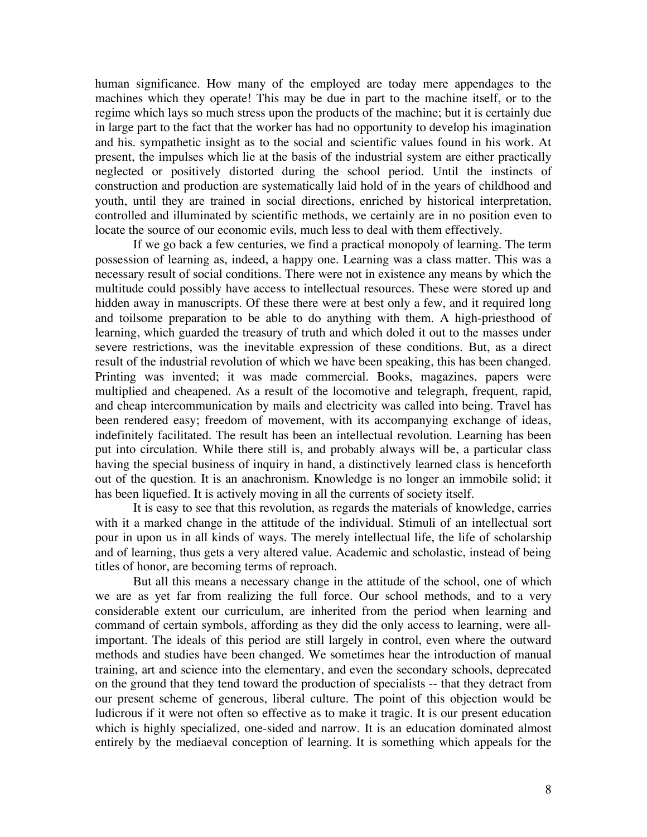human significance. How many of the employed are today mere appendages to the machines which they operate! This may be due in part to the machine itself, or to the regime which lays so much stress upon the products of the machine; but it is certainly due in large part to the fact that the worker has had no opportunity to develop his imagination and his. sympathetic insight as to the social and scientific values found in his work. At present, the impulses which lie at the basis of the industrial system are either practically neglected or positively distorted during the school period. Until the instincts of construction and production are systematically laid hold of in the years of childhood and youth, until they are trained in social directions, enriched by historical interpretation, controlled and illuminated by scientific methods, we certainly are in no position even to locate the source of our economic evils, much less to deal with them effectively.

If we go back a few centuries, we find a practical monopoly of learning. The term possession of learning as, indeed, a happy one. Learning was a class matter. This was a necessary result of social conditions. There were not in existence any means by which the multitude could possibly have access to intellectual resources. These were stored up and hidden away in manuscripts. Of these there were at best only a few, and it required long and toilsome preparation to be able to do anything with them. A high-priesthood of learning, which guarded the treasury of truth and which doled it out to the masses under severe restrictions, was the inevitable expression of these conditions. But, as a direct result of the industrial revolution of which we have been speaking, this has been changed. Printing was invented; it was made commercial. Books, magazines, papers were multiplied and cheapened. As a result of the locomotive and telegraph, frequent, rapid, and cheap intercommunication by mails and electricity was called into being. Travel has been rendered easy; freedom of movement, with its accompanying exchange of ideas, indefinitely facilitated. The result has been an intellectual revolution. Learning has been put into circulation. While there still is, and probably always will be, a particular class having the special business of inquiry in hand, a distinctively learned class is henceforth out of the question. It is an anachronism. Knowledge is no longer an immobile solid; it has been liquefied. It is actively moving in all the currents of society itself.

It is easy to see that this revolution, as regards the materials of knowledge, carries with it a marked change in the attitude of the individual. Stimuli of an intellectual sort pour in upon us in all kinds of ways. The merely intellectual life, the life of scholarship and of learning, thus gets a very altered value. Academic and scholastic, instead of being titles of honor, are becoming terms of reproach.

But all this means a necessary change in the attitude of the school, one of which we are as yet far from realizing the full force. Our school methods, and to a very considerable extent our curriculum, are inherited from the period when learning and command of certain symbols, affording as they did the only access to learning, were allimportant. The ideals of this period are still largely in control, even where the outward methods and studies have been changed. We sometimes hear the introduction of manual training, art and science into the elementary, and even the secondary schools, deprecated on the ground that they tend toward the production of specialists -- that they detract from our present scheme of generous, liberal culture. The point of this objection would be ludicrous if it were not often so effective as to make it tragic. It is our present education which is highly specialized, one-sided and narrow. It is an education dominated almost entirely by the mediaeval conception of learning. It is something which appeals for the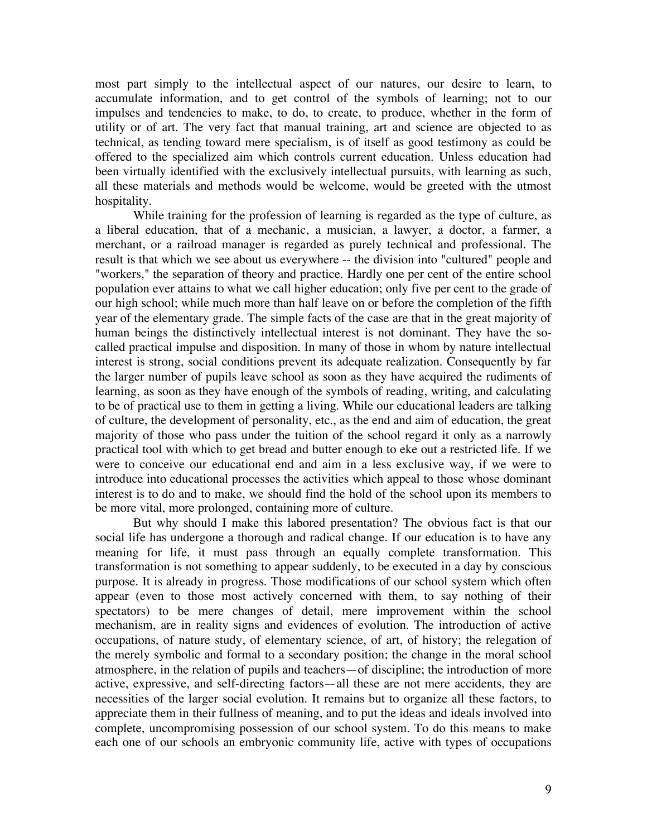most part simply to the intellectual aspect of our natures, our desire to learn, to accumulate information, and to get control of the symbols of learning; not to our impulses and tendencies to make, to do, to create, to produce, whether in the form of utility or of art. The very fact that manual training, art and science are objected to as technical, as tending toward mere specialism, is of itself as good testimony as could be offered to the specialized aim which controls current education. Unless education had been virtually identified with the exclusively intellectual pursuits, with learning as such, all these materials and methods would be welcome, would be greeted with the utmost hospitality.

While training for the profession of learning is regarded as the type of culture, as a liberal education, that of a mechanic, a musician, a lawyer, a doctor, a farmer, a merchant, or a railroad manager is regarded as purely technical and professional. The result is that which we see about us everywhere -- the division into "cultured" people and "workers," the separation of theory and practice. Hardly one per cent of the entire school population ever attains to what we call higher education; only five per cent to the grade of our high school; while much more than half leave on or before the completion of the fifth year of the elementary grade. The simple facts of the case are that in the great majority of human beings the distinctively intellectual interest is not dominant. They have the socalled practical impulse and disposition. In many of those in whom by nature intellectual interest is strong, social conditions prevent its adequate realization. Consequently by far the larger number of pupils leave school as soon as they have acquired the rudiments of learning, as soon as they have enough of the symbols of reading, writing, and calculating to be of practical use to them in getting a living. While our educational leaders are talking of culture, the development of personality, etc., as the end and aim of education, the great majority of those who pass under the tuition of the school regard it only as a narrowly practical tool with which to get bread and butter enough to eke out a restricted life. If we were to conceive our educational end and aim in a less exclusive way, if we were to introduce into educational processes the activities which appeal to those whose dominant interest is to do and to make, we should find the hold of the school upon its members to be more vital, more prolonged, containing more of culture.

But why should I make this labored presentation? The obvious fact is that our social life has undergone a thorough and radical change. If our education is to have any meaning for life, it must pass through an equally complete transformation. This transformation is not something to appear suddenly, to be executed in a day by conscious purpose. It is already in progress. Those modifications of our school system which often appear (even to those most actively concerned with them, to say nothing of their spectators) to be mere changes of detail, mere improvement within the school mechanism, are in reality signs and evidences of evolution. The introduction of active occupations, of nature study, of elementary science, of art, of history; the relegation of the merely symbolic and formal to a secondary position; the change in the moral school atmosphere, in the relation of pupils and teachers—of discipline; the introduction of more active, expressive, and self-directing factors—all these are not mere accidents, they are necessities of the larger social evolution. It remains but to organize all these factors, to appreciate them in their fullness of meaning, and to put the ideas and ideals involved into complete, uncompromising possession of our school system. To do this means to make each one of our schools an embryonic community life, active with types of occupations